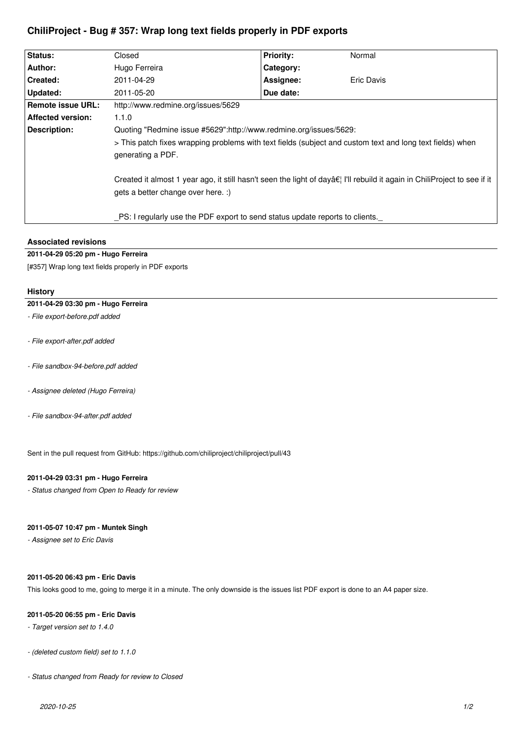# **ChiliProject - Bug # 357: Wrap long text fields properly in PDF exports**

| <b>Status:</b>                                                               | Closed                                                                                                    | <b>Priority:</b>                                                                                                              | Normal            |  |  |
|------------------------------------------------------------------------------|-----------------------------------------------------------------------------------------------------------|-------------------------------------------------------------------------------------------------------------------------------|-------------------|--|--|
|                                                                              |                                                                                                           |                                                                                                                               |                   |  |  |
| Author:                                                                      | Hugo Ferreira                                                                                             | Category:                                                                                                                     |                   |  |  |
| <b>Created:</b>                                                              | 2011-04-29                                                                                                | Assignee:                                                                                                                     | <b>Eric Davis</b> |  |  |
| <b>Updated:</b>                                                              | 2011-05-20                                                                                                | Due date:                                                                                                                     |                   |  |  |
| <b>Remote issue URL:</b>                                                     | http://www.redmine.org/issues/5629                                                                        |                                                                                                                               |                   |  |  |
| <b>Affected version:</b>                                                     | 1.1.0                                                                                                     |                                                                                                                               |                   |  |  |
| <b>Description:</b>                                                          | Quoting "Redmine issue #5629":http://www.redmine.org/issues/5629:                                         |                                                                                                                               |                   |  |  |
|                                                                              | > This patch fixes wrapping problems with text fields (subject and custom text and long text fields) when |                                                                                                                               |                   |  |  |
|                                                                              | generating a PDF.                                                                                         |                                                                                                                               |                   |  |  |
|                                                                              | gets a better change over here. :)                                                                        | Created it almost 1 year ago, it still hasn't seen the light of dayâ $\xi$ I'll rebuild it again in ChiliProject to see if it |                   |  |  |
| PS: I regularly use the PDF export to send status update reports to clients. |                                                                                                           |                                                                                                                               |                   |  |  |

## **Associated revisions**

## **2011-04-29 05:20 pm - Hugo Ferreira**

[#357] Wrap long text fields properly in PDF exports

## **History**

#### **2011-04-29 03:30 pm - Hugo Ferreira**

- *File export-before.pdf added*
- *File export-after.pdf added*
- *File sandbox-94-before.pdf added*
- *Assignee deleted (Hugo Ferreira)*
- *File sandbox-94-after.pdf added*

Sent in the pull request from GitHub: https://github.com/chiliproject/chiliproject/pull/43

## **2011-04-29 03:31 pm - Hugo Ferreira**

*- Status changed from Open to Ready for review*

#### **2011-05-07 10:47 pm - Muntek Singh**

*- Assignee set to Eric Davis*

# **2011-05-20 06:43 pm - Eric Davis**

This looks good to me, going to merge it in a minute. The only downside is the issues list PDF export is done to an A4 paper size.

#### **2011-05-20 06:55 pm - Eric Davis**

- *Target version set to 1.4.0*
- *(deleted custom field) set to 1.1.0*
- *Status changed from Ready for review to Closed*